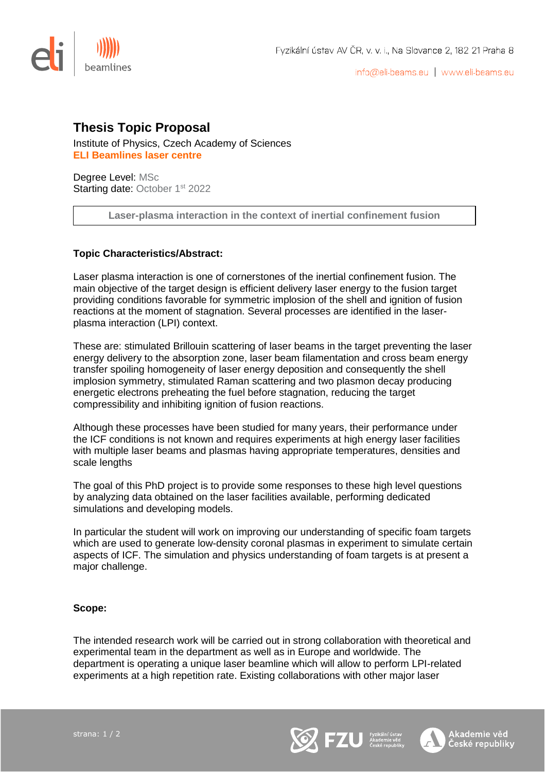

info@eli-beams.eu | www.eli-beams.eu

Akademie věd

## **Thesis Topic Proposal**

Institute of Physics, Czech Academy of Sciences **ELI Beamlines laser centre** 

Degree Level: MSc Starting date: October 1<sup>st</sup> 2022

**Laser-plasma interaction in the context of inertial confinement fusion**

## **Topic Characteristics/Abstract:**

Laser plasma interaction is one of cornerstones of the inertial confinement fusion. The main objective of the target design is efficient delivery laser energy to the fusion target providing conditions favorable for symmetric implosion of the shell and ignition of fusion reactions at the moment of stagnation. Several processes are identified in the laserplasma interaction (LPI) context.

These are: stimulated Brillouin scattering of laser beams in the target preventing the laser energy delivery to the absorption zone, laser beam filamentation and cross beam energy transfer spoiling homogeneity of laser energy deposition and consequently the shell implosion symmetry, stimulated Raman scattering and two plasmon decay producing energetic electrons preheating the fuel before stagnation, reducing the target compressibility and inhibiting ignition of fusion reactions.

Although these processes have been studied for many years, their performance under the ICF conditions is not known and requires experiments at high energy laser facilities with multiple laser beams and plasmas having appropriate temperatures, densities and scale lengths

The goal of this PhD project is to provide some responses to these high level questions by analyzing data obtained on the laser facilities available, performing dedicated simulations and developing models.

In particular the student will work on improving our understanding of specific foam targets which are used to generate low-density coronal plasmas in experiment to simulate certain aspects of ICF. The simulation and physics understanding of foam targets is at present a major challenge.

## **Scope:**

The intended research work will be carried out in strong collaboration with theoretical and experimental team in the department as well as in Europe and worldwide. The department is operating a unique laser beamline which will allow to perform LPI-related experiments at a high repetition rate. Existing collaborations with other major laser